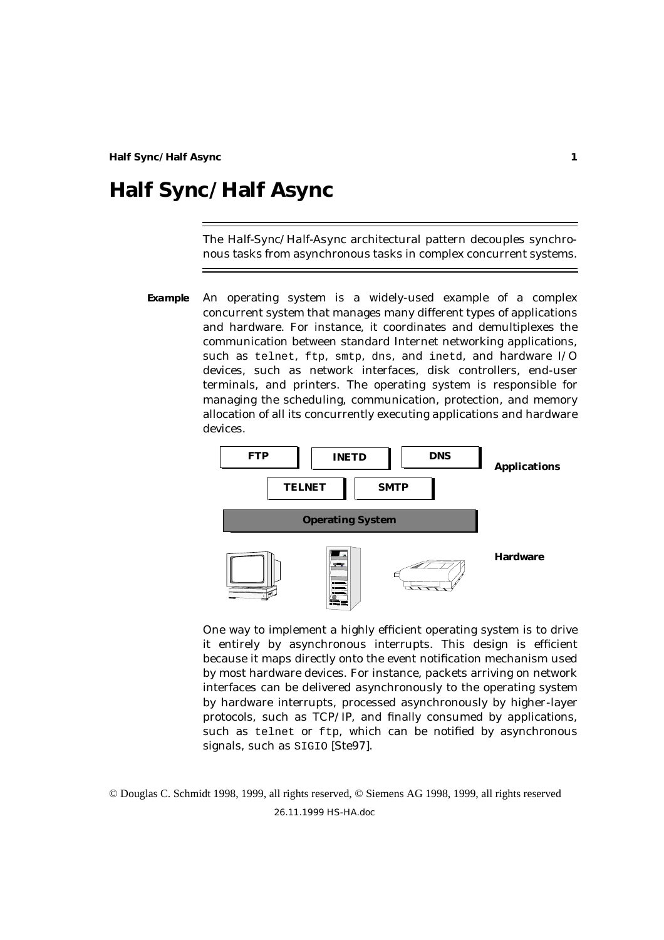The *Half-Sync/Half-Async* architectural pattern decouples synchronous tasks from asynchronous tasks in complex concurrent systems.

**Example** An operating system is a widely-used example of a complex concurrent system that manages many different types of applications and hardware. For instance, it coordinates and demultiplexes the communication between standard Internet networking applications, such as telnet, ftp, smtp, dns, and inetd, and hardware I/O devices, such as network interfaces, disk controllers, end-user terminals, and printers. The operating system is responsible for managing the scheduling, communication, protection, and memory allocation of all its concurrently executing applications and hardware devices.



One way to implement a highly efficient operating system is to drive it entirely by asynchronous interrupts. This design is efficient because it maps directly onto the event notification mechanism used by most hardware devices. For instance, packets arriving on network interfaces can be delivered asynchronously to the operating system by hardware interrupts, processed asynchronously by higher-layer protocols, such as TCP/IP, and finally consumed by applications, such as telnet or ftp, which can be notified by asynchronous signals, such as SIGIO [Ste97].

26.11.1999 HS-HA.doc © Douglas C. Schmidt 1998, 1999, all rights reserved, © Siemens AG 1998, 1999, all rights reserved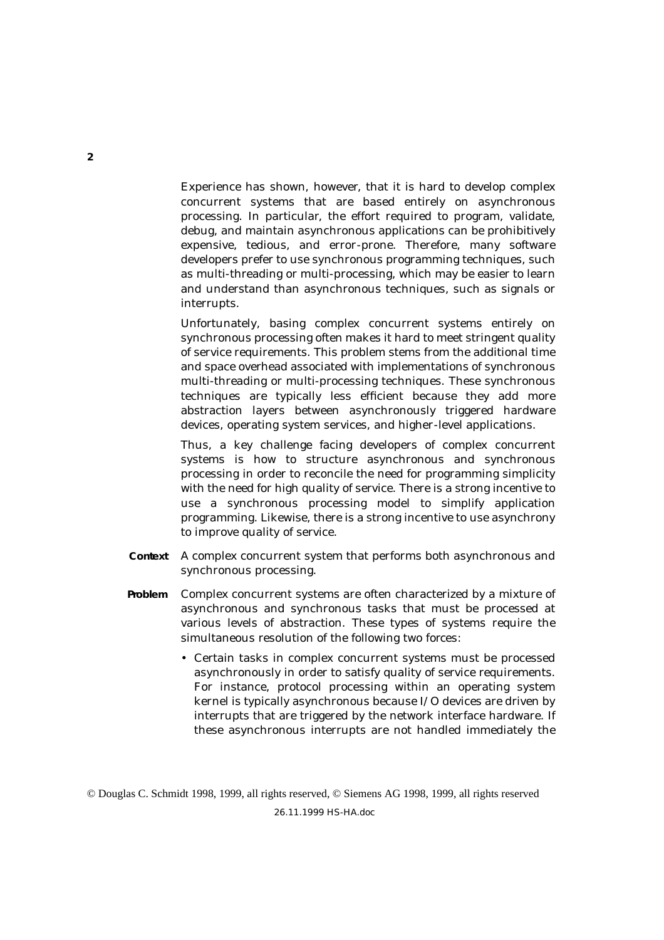Experience has shown, however, that it is hard to develop complex concurrent systems that are based entirely on asynchronous processing. In particular, the effort required to program, validate, debug, and maintain asynchronous applications can be prohibitively expensive, tedious, and error-prone. Therefore, many software developers prefer to use synchronous programming techniques, such as multi-threading or multi-processing, which may be easier to learn and understand than asynchronous techniques, such as signals or interrupts.

Unfortunately, basing complex concurrent systems entirely on synchronous processing often makes it hard to meet stringent quality of service requirements. This problem stems from the additional time and space overhead associated with implementations of synchronous multi-threading or multi-processing techniques. These synchronous techniques are typically less efficient because they add more abstraction layers between asynchronously triggered hardware devices, operating system services, and higher-level applications.

Thus, a key challenge facing developers of complex concurrent systems is how to structure asynchronous and synchronous processing in order to reconcile the need for programming simplicity with the need for high quality of service. There is a strong incentive to use a synchronous processing model to simplify application programming. Likewise, there is a strong incentive to use asynchrony to improve quality of service.

- **Context** A complex concurrent system that performs both asynchronous and synchronous processing.
- **Problem** Complex concurrent systems are often characterized by a mixture of asynchronous and synchronous tasks that must be processed at various levels of abstraction. These types of systems require the simultaneous resolution of the following two *forces*:
	- Certain tasks in complex concurrent systems must be processed asynchronously in order to satisfy quality of service requirements. For instance, protocol processing within an operating system kernel is typically asynchronous because I/O devices are driven by interrupts that are triggered by the network interface hardware. If these asynchronous interrupts are not handled immediately the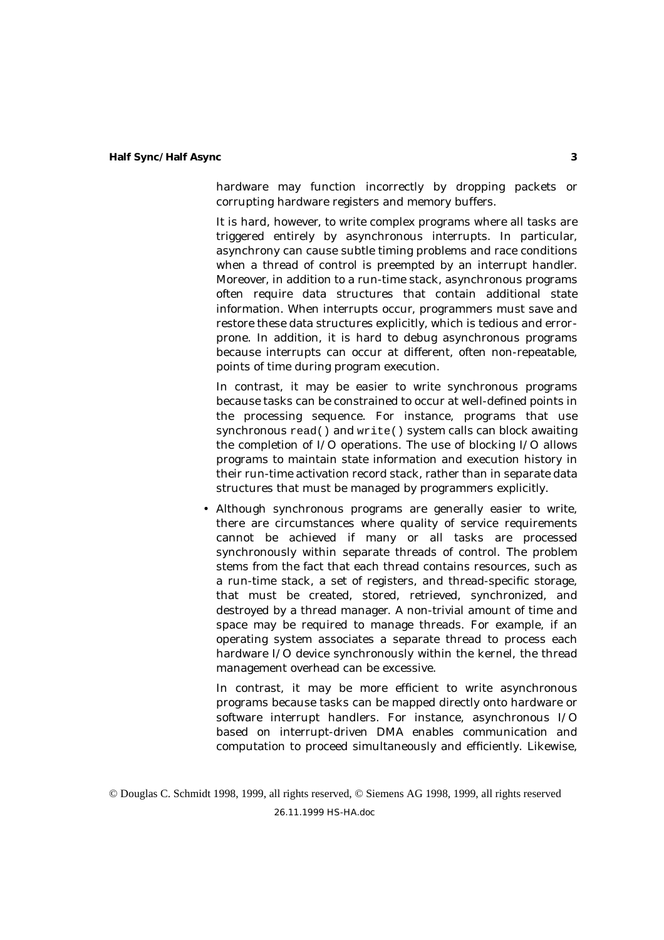hardware may function incorrectly by dropping packets or corrupting hardware registers and memory buffers.

It is hard, however, to write complex programs where all tasks are triggered entirely by asynchronous interrupts. In particular, asynchrony can cause subtle timing problems and race conditions when a thread of control is preempted by an interrupt handler. Moreover, in addition to a run-time stack, asynchronous programs often require data structures that contain additional state information. When interrupts occur, programmers must save and restore these data structures explicitly, which is tedious and errorprone. In addition, it is hard to debug asynchronous programs because interrupts can occur at different, often non-repeatable, points of time during program execution.

In contrast, it may be easier to write synchronous programs because tasks can be constrained to occur at well-defined points in the processing sequence. For instance, programs that use synchronous read() and write() system calls can block awaiting the completion of I/O operations. The use of blocking I/O allows programs to maintain state information and execution history in their run-time activation record stack, rather than in separate data structures that must be managed by programmers explicitly.

• Although synchronous programs are generally easier to write, there are circumstances where quality of service requirements cannot be achieved if many or all tasks are processed synchronously within separate threads of control. The problem stems from the fact that each thread contains resources, such as a run-time stack, a set of registers, and thread-specific storage, that must be created, stored, retrieved, synchronized, and destroyed by a thread manager. A non-trivial amount of time and space may be required to manage threads. For example, if an operating system associates a separate thread to process each hardware I/O device synchronously within the kernel, the thread management overhead can be excessive.

In contrast, it may be more efficient to write asynchronous programs because tasks can be mapped directly onto hardware or software interrupt handlers. For instance, asynchronous I/O based on interrupt-driven DMA enables communication and computation to proceed simultaneously and efficiently. Likewise,

<sup>©</sup> Douglas C. Schmidt 1998, 1999, all rights reserved, © Siemens AG 1998, 1999, all rights reserved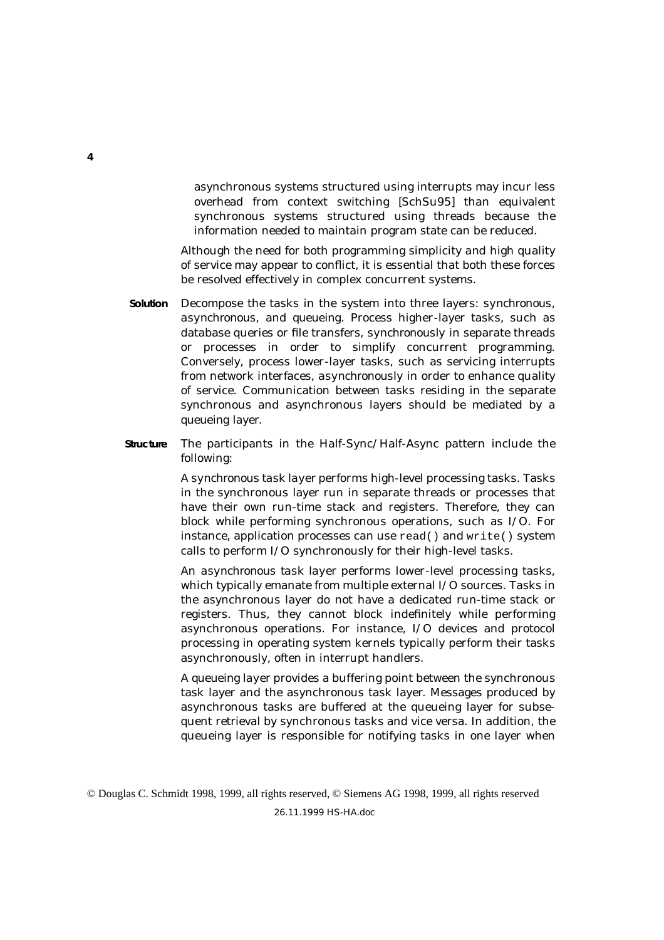asynchronous systems structured using interrupts may incur less overhead from context switching [SchSu95] than equivalent synchronous systems structured using threads because the information needed to maintain program state can be reduced.

Although the need for both programming simplicity *and* high quality of service may appear to conflict, it is essential that both these forces be resolved effectively in complex concurrent systems.

- **Solution** Decompose the tasks in the system into three layers: *synchronous*, *asynchronous*, and *queueing*. Process higher-layer tasks, such as database queries or file transfers, *synchronously* in separate threads or processes in order to simplify concurrent programming. Conversely, process lower-layer tasks, such as servicing interrupts from network interfaces, *asynchronously* in order to enhance quality of service. Communication between tasks residing in the separate synchronous and asynchronous layers should be mediated by a *queueing* layer.
- **Structure** The participants in the Half-Sync/Half-Async pattern include the following:

A *synchronous task layer* performs high-level processing tasks. Tasks in the synchronous layer run in separate threads or processes that have their own run-time stack and registers. Therefore, they can block while performing synchronous operations, such as I/O. For instance, application processes can use read() and write() system calls to perform I/O synchronously for their high-level tasks.

An *asynchronous task layer* performs lower-level processing tasks, which typically emanate from multiple external I/O sources. Tasks in the asynchronous layer do not have a dedicated run-time stack or registers. Thus, they cannot block indefinitely while performing asynchronous operations. For instance, I/O devices and protocol processing in operating system kernels typically perform their tasks asynchronously, often in interrupt handlers.

A *queueing layer* provides a buffering point between the synchronous task layer and the asynchronous task layer. Messages produced by asynchronous tasks are buffered at the queueing layer for subsequent retrieval by synchronous tasks and vice versa. In addition, the queueing layer is responsible for notifying tasks in one layer when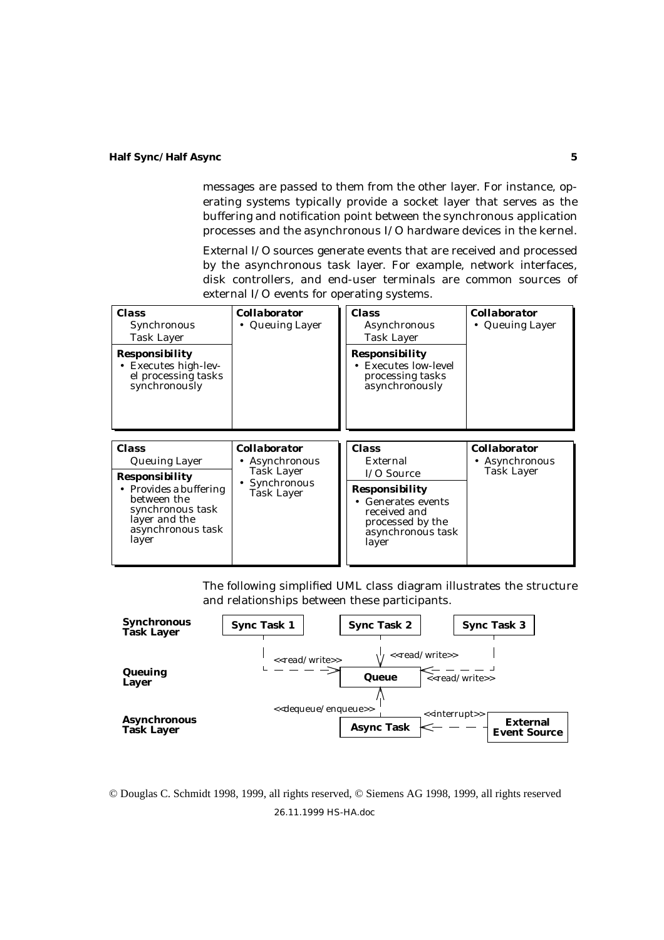messages are passed to them from the other layer. For instance, operating systems typically provide a socket layer that serves as the buffering and notification point between the synchronous application processes and the asynchronous I/O hardware devices in the kernel.

*External I/O sources* generate events that are received and processed by the asynchronous task layer. For example, network interfaces, disk controllers, and end-user terminals are common sources of external I/O events for operating systems.

| <b>Class</b><br>Synchronous<br><b>Task Layer</b><br>Responsibility<br><b>Executes high-lev-</b><br>el processing tasks<br>synchronously | <b>Collaborator</b><br>• Queuing Layer                                         | <b>Class</b><br>Asynchronous<br><b>Task Layer</b><br><b>Responsibility</b><br><b>Executes low-level</b><br>processing tasks<br>asynchronously | <b>Collaborator</b><br>• Queuing Layer            |
|-----------------------------------------------------------------------------------------------------------------------------------------|--------------------------------------------------------------------------------|-----------------------------------------------------------------------------------------------------------------------------------------------|---------------------------------------------------|
| <b>Class</b><br><b>Queuing Layer</b><br><b>Responsibility</b>                                                                           | <b>Collaborator</b><br>Asynchronous<br>Task Layer<br>Synchronous<br>Task Layer | <b>Class</b><br>External<br>$I/O$ Source                                                                                                      | <b>Collaborator</b><br>Asynchronous<br>Task Layer |
| • Provides a buffering<br>between the<br>synchronous task<br>layer and the<br>asynchronous task<br>layer                                |                                                                                | <b>Responsibility</b><br><b>Generates events</b><br>$\bullet$<br>received and<br>processed by the<br>asynchronous task<br>layer               |                                                   |

The following simplified UML class diagram illustrates the structure and relationships between these participants.



26.11.1999 HS-HA.doc © Douglas C. Schmidt 1998, 1999, all rights reserved, © Siemens AG 1998, 1999, all rights reserved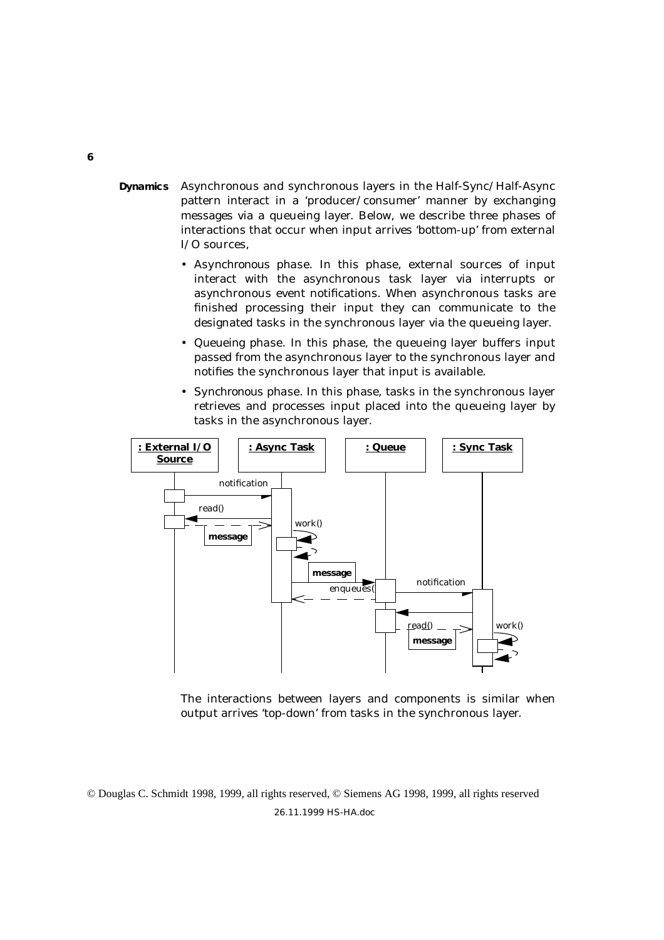- **Dynamics** Asynchronous and synchronous layers in the Half-Sync/Half-Async pattern interact in a 'producer/consumer' manner by exchanging messages via a queueing layer. Below, we describe three phases of interactions that occur when input arrives 'bottom-up' from external I/O sources,
	- *Asynchronous phase*. In this phase, external sources of input interact with the asynchronous task layer via interrupts or asynchronous event notifications. When asynchronous tasks are finished processing their input they can communicate to the designated tasks in the synchronous layer via the queueing layer.
	- *Queueing phase*. In this phase, the queueing layer buffers input passed from the asynchronous layer to the synchronous layer and notifies the synchronous layer that input is available.
	- *Synchronous phase*. In this phase, tasks in the synchronous layer retrieves and processes input placed into the queueing layer by tasks in the asynchronous layer.



The interactions between layers and components is similar when output arrives 'top-down' from tasks in the synchronous layer.

© Douglas C. Schmidt 1998, 1999, all rights reserved, © Siemens AG 1998, 1999, all rights reserved 26.11.1999 HS-HA.doc

#### **6**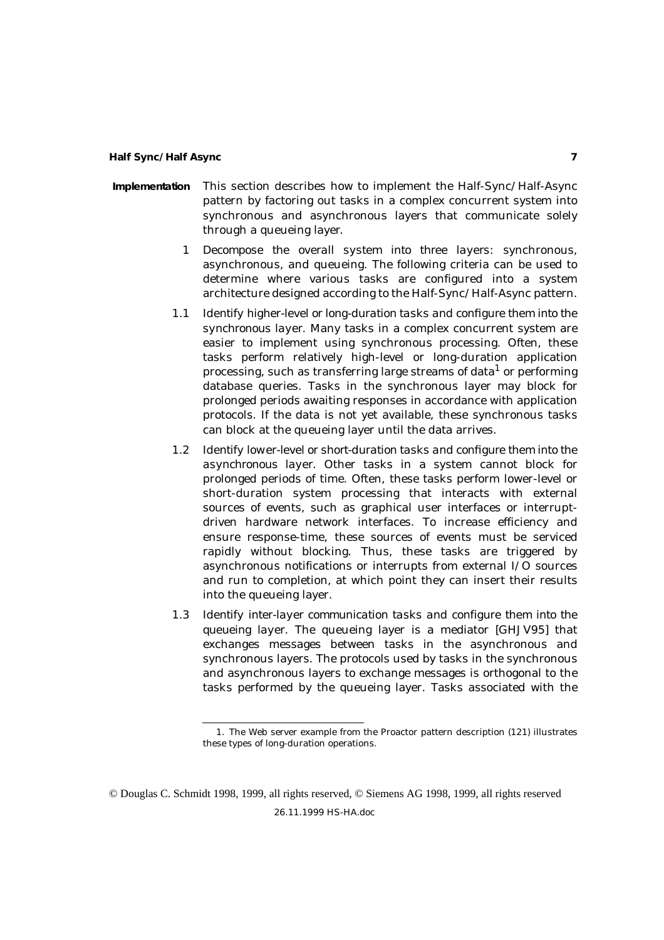- **Implementation** This section describes how to implement the Half-Sync/Half-Async pattern by factoring out tasks in a complex concurrent system into synchronous and asynchronous layers that communicate solely through a queueing layer.
	- 1 *Decompose the overall system into three layers*: synchronous, asynchronous, and queueing. The following criteria can be used to determine where various tasks are configured into a system architecture designed according to the Half-Sync/Half-Async pattern.
	- 1.1 *Identify higher-level or long-duration tasks and configure them into the synchronous layer*. Many tasks in a complex concurrent system are easier to implement using synchronous processing. Often, these tasks perform relatively high-level or long-duration application processing, such as transferring large streams of data<sup>1</sup> or performing database queries. Tasks in the synchronous layer may block for prolonged periods awaiting responses in accordance with application protocols. If the data is not yet available, these synchronous tasks can block at the queueing layer until the data arrives.
	- 1.2 *Identify lower-level or short-duration tasks and configure them into the asynchronous layer*. Other tasks in a system cannot block for prolonged periods of time. Often, these tasks perform lower-level or short-duration system processing that interacts with external sources of events, such as graphical user interfaces or interruptdriven hardware network interfaces. To increase efficiency and ensure response-time, these sources of events must be serviced rapidly without blocking. Thus, these tasks are triggered by asynchronous notifications or interrupts from external I/O sources and run to completion, at which point they can insert their results into the queueing layer.
	- 1.3 *Identify inter-layer communication tasks and configure them into the queueing layer*. The queueing layer is a mediator [GHJV95] that exchanges messages between tasks in the asynchronous and synchronous layers. The protocols used by tasks in the synchronous and asynchronous layers to exchange messages is orthogonal to the tasks performed by the queueing layer. Tasks associated with the

<sup>1.</sup> The Web server example from the Proactor pattern description (121) illustrates these types of long-duration operations.

<sup>©</sup> Douglas C. Schmidt 1998, 1999, all rights reserved, © Siemens AG 1998, 1999, all rights reserved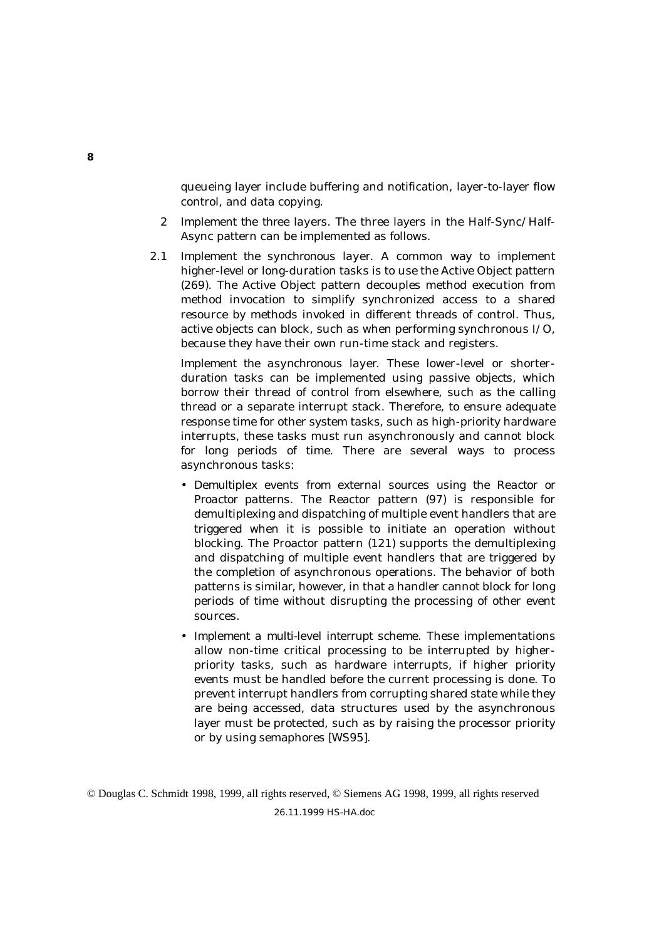queueing layer include buffering and notification, layer-to-layer flow control, and data copying.

- 2 *Implement the three layers*. The three layers in the Half-Sync/Half-Async pattern can be implemented as follows.
- 2.1 *Implement the synchronous layer*. A common way to implement higher-level or long-duration tasks is to use the Active Object pattern (269). The Active Object pattern decouples method execution from method invocation to simplify synchronized access to a shared resource by methods invoked in different threads of control. Thus, active objects can block, such as when performing synchronous I/O, because they have their own run-time stack and registers.

*Implement the asynchronous layer*. These lower-level or shorterduration tasks can be implemented using *passive objects*, which borrow their thread of control from elsewhere, such as the calling thread or a separate interrupt stack. Therefore, to ensure adequate response time for other system tasks, such as high-priority hardware interrupts, these tasks must run asynchronously and cannot block for long periods of time. There are several ways to process asynchronous tasks:

- *Demultiplex events from external sources using the Reactor or Proactor patterns*. The Reactor pattern (97) is responsible for demultiplexing and dispatching of multiple event handlers that are triggered when it is possible to initiate an operation without blocking. The Proactor pattern (121) supports the demultiplexing and dispatching of multiple event handlers that are triggered by the completion of asynchronous operations. The behavior of both patterns is similar, however, in that a handler cannot block for long periods of time without disrupting the processing of other event sources.
- *Implement a multi-level interrupt scheme*. These implementations allow non-time critical processing to be interrupted by higherpriority tasks, such as hardware interrupts, if higher priority events must be handled before the current processing is done. To prevent interrupt handlers from corrupting shared state while they are being accessed, data structures used by the asynchronous layer must be protected, such as by raising the processor priority or by using semaphores [WS95].

© Douglas C. Schmidt 1998, 1999, all rights reserved, © Siemens AG 1998, 1999, all rights reserved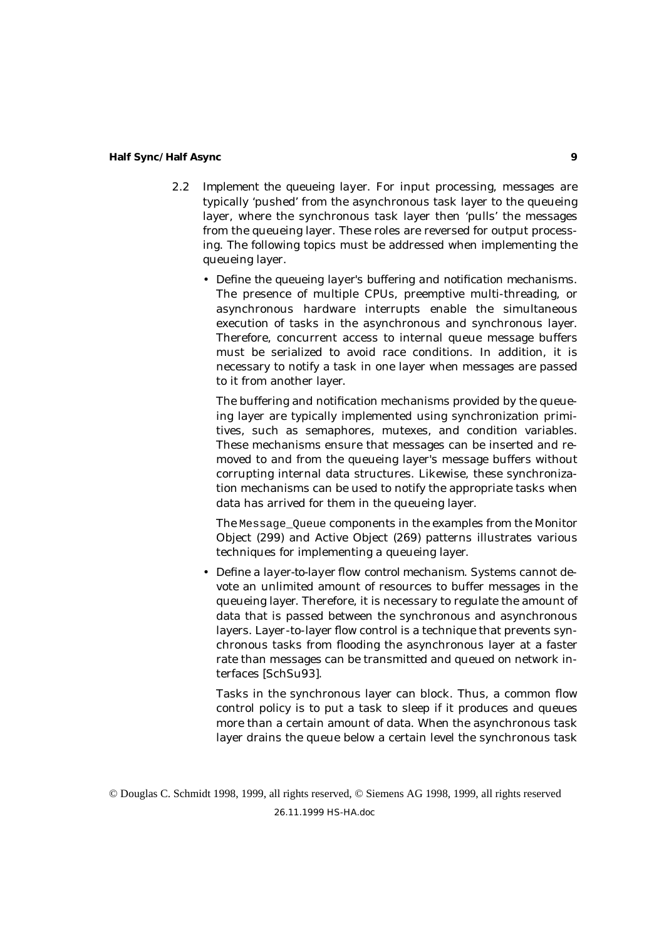- 2.2 *Implement the queueing layer*. For input processing, messages are typically 'pushed' from the asynchronous task layer to the queueing layer, where the synchronous task layer then 'pulls' the messages from the queueing layer. These roles are reversed for output processing. The following topics must be addressed when implementing the queueing layer.
	- *Define the queueing layer's buffering and notification mechanisms*. The presence of multiple CPUs, preemptive multi-threading, or asynchronous hardware interrupts enable the simultaneous execution of tasks in the asynchronous and synchronous layer. Therefore, concurrent access to internal queue message buffers must be serialized to avoid race conditions. In addition, it is necessary to notify a task in one layer when messages are passed to it from another layer.

The buffering and notification mechanisms provided by the queueing layer are typically implemented using synchronization primitives, such as semaphores, mutexes, and condition variables. These mechanisms ensure that messages can be inserted and removed to and from the queueing layer's message buffers without corrupting internal data structures. Likewise, these synchronization mechanisms can be used to notify the appropriate tasks when data has arrived for them in the queueing layer.

The Message Oueue components in the examples from the Monitor Object (299) and Active Object (269) patterns illustrates various techniques for implementing a queueing layer.

• *Define a layer-to-layer flow control mechanism*. Systems cannot devote an unlimited amount of resources to buffer messages in the queueing layer. Therefore, it is necessary to regulate the amount of data that is passed between the synchronous and asynchronous layers. Layer-to-layer flow control is a technique that prevents synchronous tasks from flooding the asynchronous layer at a faster rate than messages can be transmitted and queued on network interfaces [SchSu93].

Tasks in the synchronous layer can block. Thus, a common flow control policy is to put a task to sleep if it produces and queues more than a certain amount of data. When the asynchronous task layer drains the queue below a certain level the synchronous task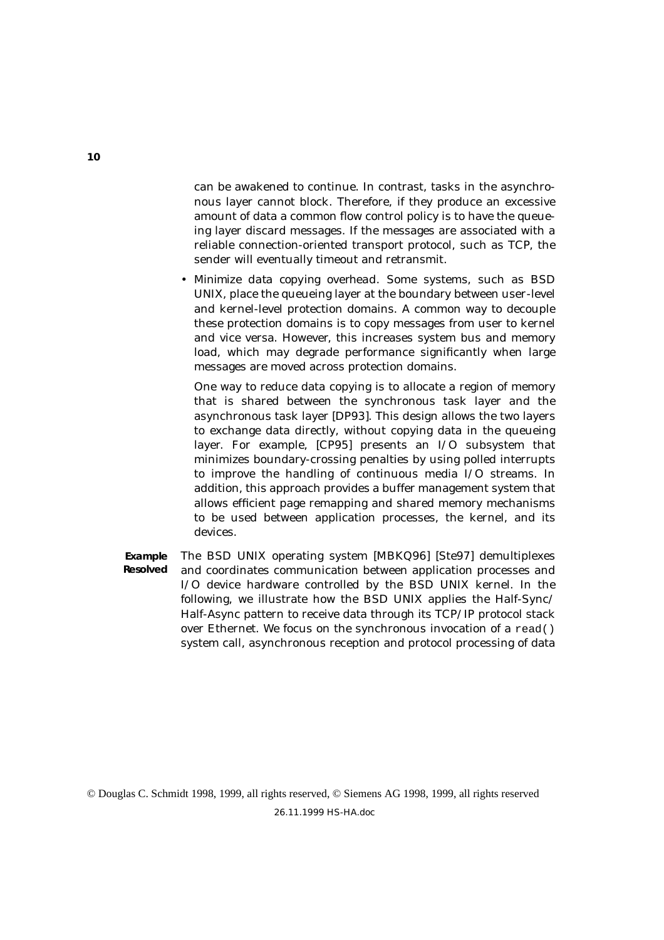can be awakened to continue. In contrast, tasks in the asynchronous layer cannot block. Therefore, if they produce an excessive amount of data a common flow control policy is to have the queueing layer discard messages. If the messages are associated with a reliable connection-oriented transport protocol, such as TCP, the sender will eventually timeout and retransmit.

• *Minimize data copying overhead*. Some systems, such as BSD UNIX, place the queueing layer at the boundary between user-level and kernel-level protection domains. A common way to decouple these protection domains is to copy messages from user to kernel and vice versa. However, this increases system bus and memory load, which may degrade performance significantly when large messages are moved across protection domains.

One way to reduce data copying is to allocate a region of memory that is shared between the synchronous task layer and the asynchronous task layer [DP93]. This design allows the two layers to exchange data directly, without copying data in the queueing layer. For example, [CP95] presents an I/O subsystem that minimizes boundary-crossing penalties by using polled interrupts to improve the handling of continuous media I/O streams. In addition, this approach provides a buffer management system that allows efficient page remapping and shared memory mechanisms to be used between application processes, the kernel, and its devices.

**Example Resolved** The BSD UNIX operating system [MBKQ96] [Ste97] demultiplexes and coordinates communication between application processes and I/O device hardware controlled by the BSD UNIX kernel. In the following, we illustrate how the BSD UNIX applies the Half-Sync/ Half-Async pattern to receive data through its TCP/IP protocol stack over Ethernet. We focus on the synchronous invocation of a read() system call, asynchronous reception and protocol processing of data

© Douglas C. Schmidt 1998, 1999, all rights reserved, © Siemens AG 1998, 1999, all rights reserved 26.11.1999 HS-HA.doc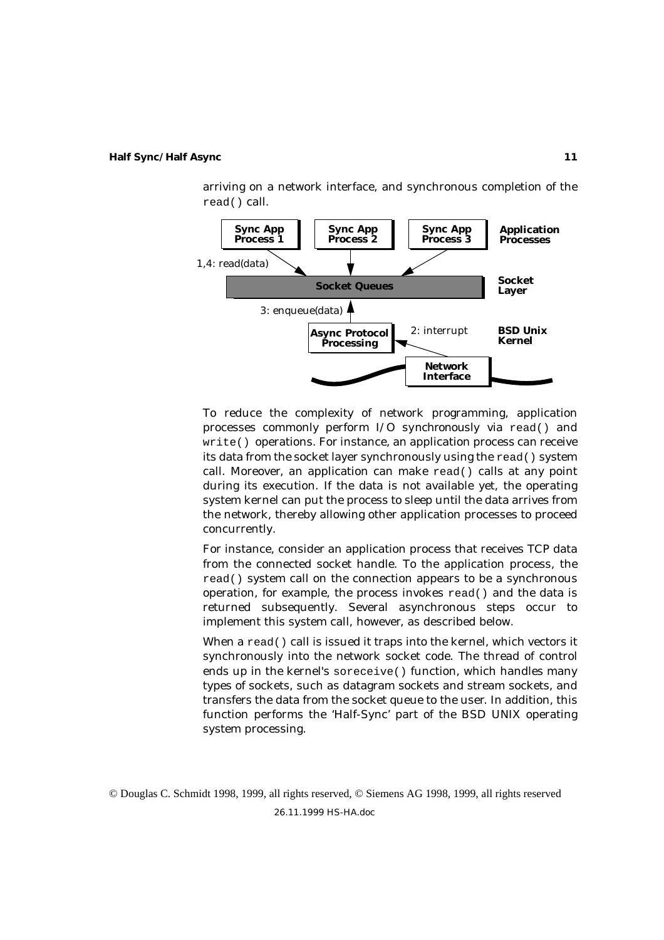

arriving on a network interface, and synchronous completion of the

To reduce the complexity of network programming, application processes commonly perform I/O *synchronously* via read() and write() operations. For instance, an application process can receive its data from the socket layer synchronously using the read() system call. Moreover, an application can make read() calls at any point during its execution. If the data is not available yet, the operating system kernel can put the process to sleep until the data arrives from the network, thereby allowing other application processes to proceed concurrently.

For instance, consider an application process that receives TCP data from the connected socket handle. To the application process, the read() system call on the connection appears to be a synchronous operation, for example, the process invokes read() and the data is returned subsequently. Several asynchronous steps occur to implement this system call, however, as described below.

When a read() call is issued it traps into the kernel, which vectors it synchronously into the network socket code. The thread of control ends up in the kernel's soreceive() function, which handles many types of sockets, such as datagram sockets and stream sockets, and transfers the data from the socket queue to the user. In addition, this function performs the 'Half-Sync' part of the BSD UNIX operating system processing.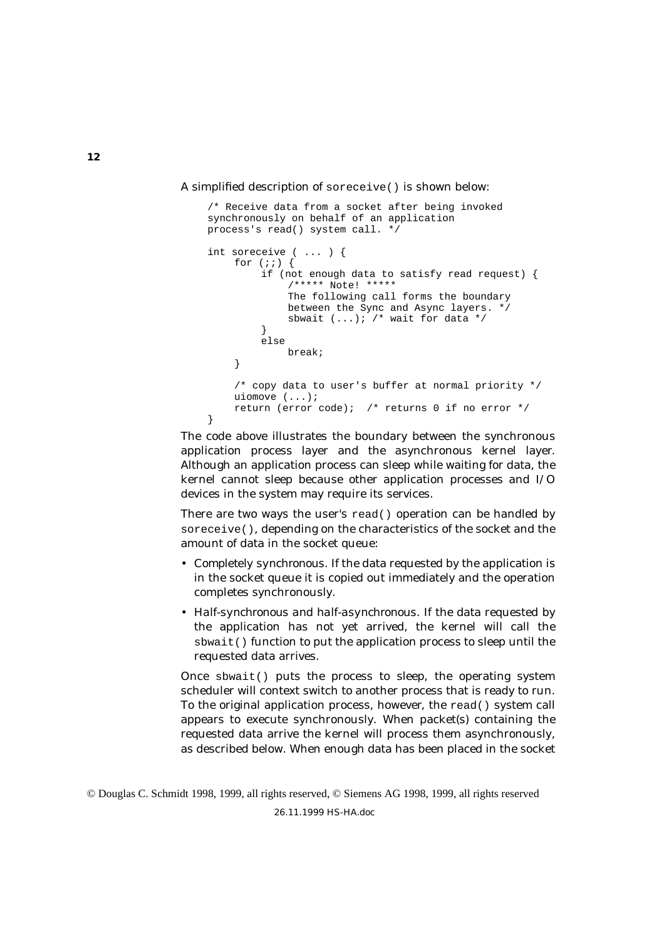#### A simplified description of soreceive() is shown below:

```
/* Receive data from a socket after being invoked
synchronously on behalf of an application
process's read() system call. */
int soreceive ( ... ) {
    for (i; j) {
         if (not enough data to satisfy read request) {
             /***** Note! *****
             The following call forms the boundary
             between the Sync and Async layers. */
             sbwait (...); /* wait for data */
         }
         else
             break;
    }
    /* copy data to user's buffer at normal priority */
    uiomove (...);
    return (error code); /* returns 0 if no error */
}
```
The code above illustrates the boundary between the synchronous application process layer and the asynchronous kernel layer. Although an application process can sleep while waiting for data, the kernel cannot sleep because other application processes and I/O devices in the system may require its services.

There are two ways the user's read() operation can be handled by soreceive(), depending on the characteristics of the socket and the amount of data in the socket queue:

- *Completely synchronous*. If the data requested by the application is in the socket queue it is copied out immediately and the operation completes synchronously.
- *Half-synchronous and half-asynchronous*. If the data requested by the application has not yet arrived, the kernel will call the sbwait() function to put the application process to sleep until the requested data arrives.

Once  $s$ bwait() puts the process to sleep, the operating system scheduler will context switch to another process that is ready to run. To the original application process, however, the read() system call appears to execute synchronously. When packet(s) containing the requested data arrive the kernel will process them asynchronously, as described below. When enough data has been placed in the socket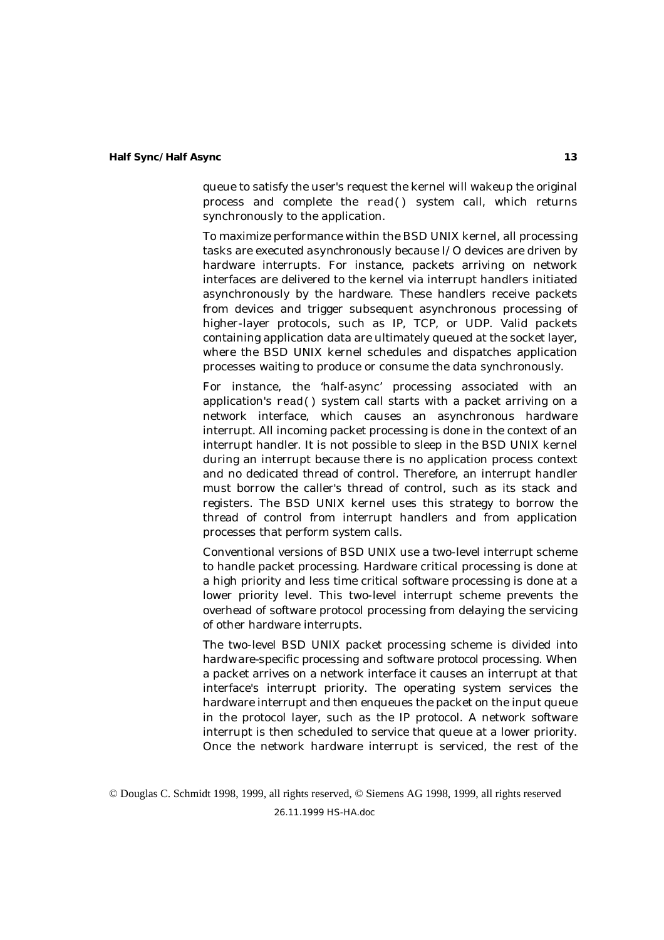queue to satisfy the user's request the kernel will wakeup the original process and complete the read() system call, which returns synchronously to the application.

To maximize performance within the BSD UNIX kernel, all processing tasks are executed *asynchronously* because I/O devices are driven by hardware interrupts. For instance, packets arriving on network interfaces are delivered to the kernel via interrupt handlers initiated asynchronously by the hardware. These handlers receive packets from devices and trigger subsequent asynchronous processing of higher-layer protocols, such as IP, TCP, or UDP. Valid packets containing application data are ultimately queued at the socket layer, where the BSD UNIX kernel schedules and dispatches application processes waiting to produce or consume the data synchronously.

For instance, the 'half-async' processing associated with an application's read() system call starts with a packet arriving on a network interface, which causes an asynchronous hardware interrupt. All incoming packet processing is done in the context of an interrupt handler. It is not possible to sleep in the BSD UNIX kernel during an interrupt because there is no application process context and no dedicated thread of control. Therefore, an interrupt handler must borrow the caller's thread of control, such as its stack and registers. The BSD UNIX kernel uses this strategy to borrow the thread of control from interrupt handlers and from application processes that perform system calls.

Conventional versions of BSD UNIX use a two-level interrupt scheme to handle packet processing. Hardware critical processing is done at a high priority and less time critical software processing is done at a lower priority level. This two-level interrupt scheme prevents the overhead of software protocol processing from delaying the servicing of other hardware interrupts.

The two-level BSD UNIX packet processing scheme is divided into *hardware-specific processing* and *software protocol processing*. When a packet arrives on a network interface it causes an interrupt at that interface's interrupt priority. The operating system services the hardware interrupt and then enqueues the packet on the input queue in the protocol layer, such as the IP protocol. A network software interrupt is then scheduled to service that queue at a lower priority. Once the network hardware interrupt is serviced, the rest of the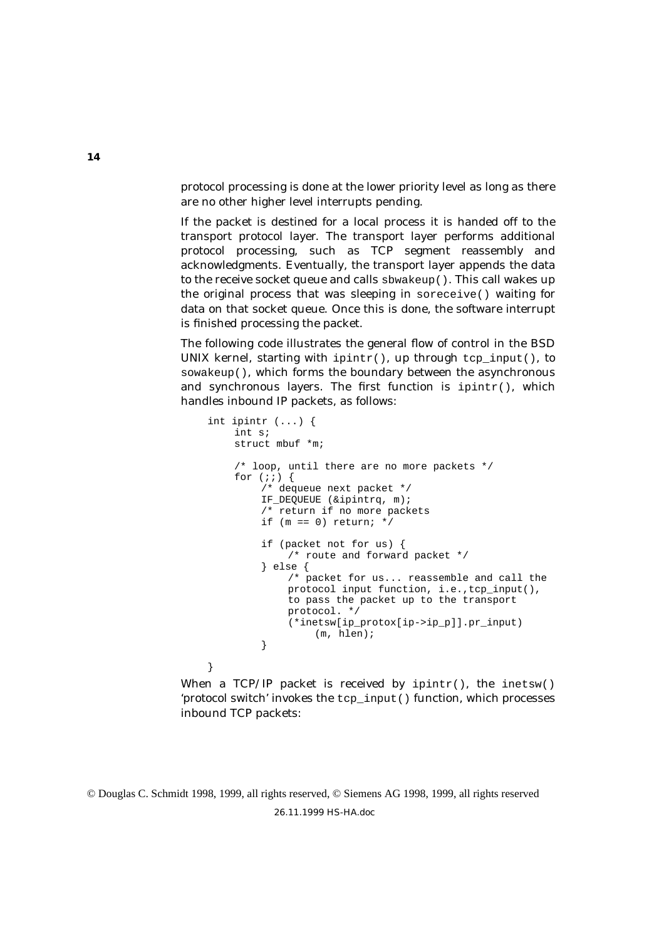protocol processing is done at the lower priority level as long as there are no other higher level interrupts pending.

If the packet is destined for a local process it is handed off to the transport protocol layer. The transport layer performs additional protocol processing, such as TCP segment reassembly and acknowledgments. Eventually, the transport layer appends the data to the receive socket queue and calls sbwakeup(). This call wakes up the original process that was sleeping in soreceive() waiting for data on that socket queue. Once this is done, the software interrupt is finished processing the packet.

The following code illustrates the general flow of control in the BSD UNIX kernel, starting with ipintr(), up through tcp\_input(), to sowakeup(), which forms the boundary between the asynchronous and synchronous layers. The first function is  $ipintf()$ , which handles inbound IP packets, as follows:

```
int ipintr (...) {
    int s;
    struct mbuf *m;
    /* loop, until there are no more packets */
    for (i; j) {
         /* dequeue next packet */
        IF_DEQUEUE (&ipintrq, m);
         /* return if no more packets
        if (m == 0) return; */
         if (packet not for us) {
             /* route and forward packet */
         } else {
             /* packet for us... reassemble and call the
             protocol input function, i.e.,tcp_input(),
             to pass the packet up to the transport
             protocol. */
             (*inetsw[ip_protox[ip->ip_p]].pr_input)
                  (m, hlen);
         }
}
```
When a TCP/IP packet is received by  $ipintr()$ , the inetsw() 'protocol switch' invokes the tcp\_input() function, which processes inbound TCP packets:

© Douglas C. Schmidt 1998, 1999, all rights reserved, © Siemens AG 1998, 1999, all rights reserved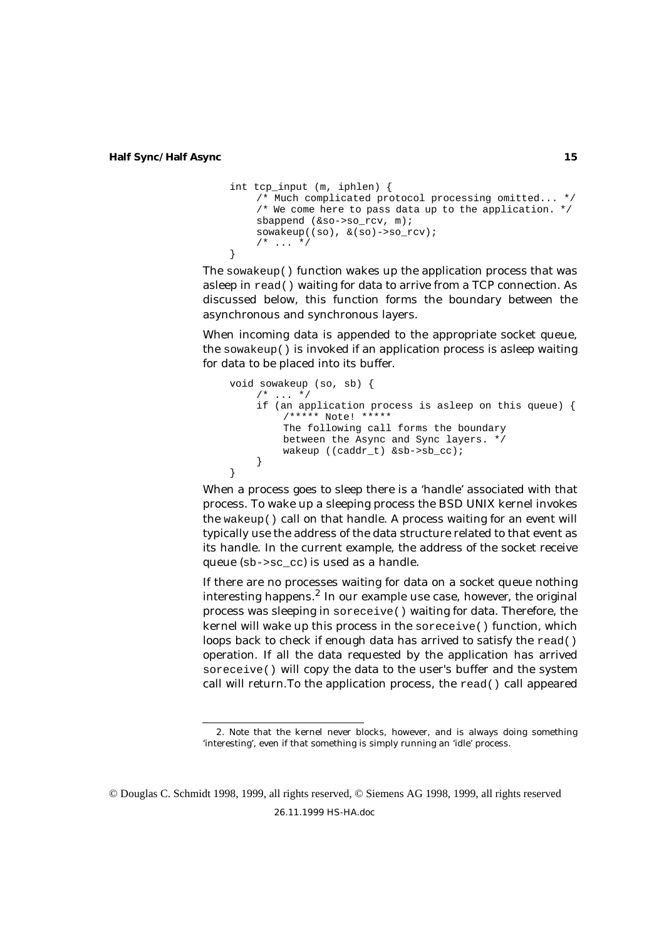```
int tcp_input (m, iphlen) {
    /* Much complicated protocol processing omitted... */
    /* We come here to pass data up to the application. */
    sbappend (&so->so_rcv, m);
    sowakeup((so), &(so)->so_rcv);
    /* ... */
}
```
The sowakeup() function wakes up the application process that was asleep in read() waiting for data to arrive from a TCP connection. As discussed below, this function forms the boundary between the asynchronous and synchronous layers.

When incoming data is appended to the appropriate socket queue, the sowakeup() is invoked if an application process is asleep waiting for data to be placed into its buffer.

```
void sowakeup (so, sb) {
    /* ... */
    if (an application process is asleep on this queue) {
         /***** Note! *****
         The following call forms the boundary
         between the Async and Sync layers. */
         wakeup ((caddr_t) &sb->sb_cc);
    }
}
```
When a process goes to sleep there is a 'handle' associated with that process. To wake up a sleeping process the BSD UNIX kernel invokes the wakeup() call on that handle. A process waiting for an event will typically use the address of the data structure related to that event as its handle. In the current example, the address of the socket receive queue (sb->sc\_cc) is used as a handle.

If there are no processes waiting for data on a socket queue nothing interesting happens.2 In our example use case, however, the original process was sleeping in soreceive() waiting for data. Therefore, the kernel will wake up this process in the soreceive() function, which loops back to check if enough data has arrived to satisfy the read() operation. If all the data requested by the application has arrived soreceive() will copy the data to the user's buffer and the system call will return.To the application process, the read() call appeared

<sup>2.</sup> Note that the kernel never blocks, however, and is always doing something 'interesting', even if that something is simply running an 'idle' process.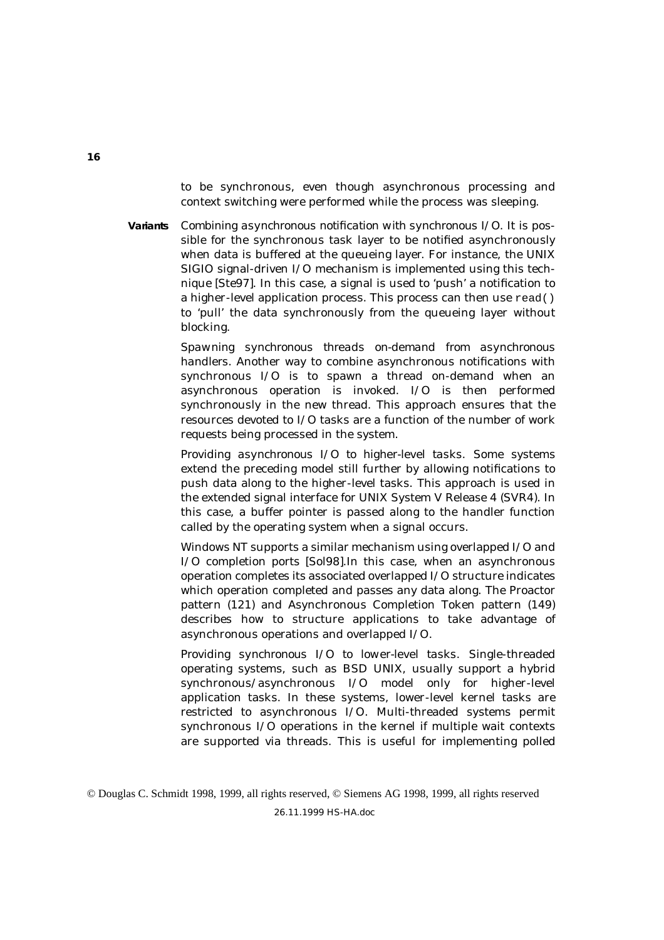to be synchronous, even though asynchronous processing and context switching were performed while the process was sleeping.

**Variants** *Combining asynchronous notification with synchronous I/O*. It is possible for the synchronous task layer to be notified asynchronously when data is buffered at the queueing layer. For instance, the UNIX SIGIO signal-driven I/O mechanism is implemented using this technique [Ste97]. In this case, a signal is used to 'push' a notification to a higher-level application process. This process can then use read() to 'pull' the data synchronously from the queueing layer without blocking.

> *Spawning synchronous threads on-demand from asynchronous handlers.* Another way to combine asynchronous notifications with synchronous I/O is to spawn a thread on-demand when an asynchronous operation is invoked. I/O is then performed synchronously in the new thread. This approach ensures that the resources devoted to I/O tasks are a function of the number of work requests being processed in the system.

> *Providing asynchronous I/O to higher-level tasks*. Some systems extend the preceding model still further by allowing notifications to push data along to the higher-level tasks. This approach is used in the extended signal interface for UNIX System V Release 4 (SVR4). In this case, a buffer pointer is passed along to the handler function called by the operating system when a signal occurs.

> Windows NT supports a similar mechanism using overlapped I/O and I/O completion ports [Sol98].In this case, when an asynchronous operation completes its associated overlapped I/O structure indicates which operation completed and passes any data along. The Proactor pattern (121) and Asynchronous Completion Token pattern (149) describes how to structure applications to take advantage of asynchronous operations and overlapped I/O.

> *Providing synchronous I/O to lower-level tasks*. Single-threaded operating systems, such as BSD UNIX, usually support a hybrid synchronous/asynchronous I/O model only for higher-level application tasks. In these systems, lower-level kernel tasks are restricted to asynchronous I/O. Multi-threaded systems permit synchronous I/O operations in the kernel if multiple wait contexts are supported via threads. This is useful for implementing polled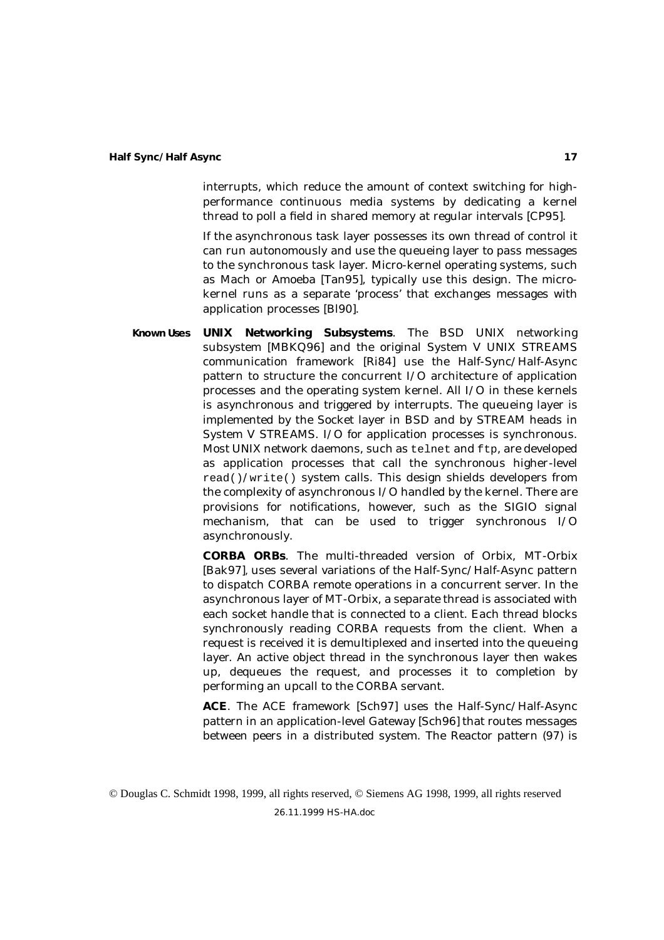interrupts, which reduce the amount of context switching for highperformance continuous media systems by dedicating a kernel thread to poll a field in shared memory at regular intervals [CP95].

If the asynchronous task layer possesses its own thread of control it can run autonomously and use the queueing layer to pass messages to the synchronous task layer. Micro-kernel operating systems, such as Mach or Amoeba [Tan95], typically use this design. The microkernel runs as a separate 'process' that exchanges messages with application processes [Bl90].

**Known Uses UNIX Networking Subsystems**. The BSD UNIX networking subsystem [MBKQ96] and the original System V UNIX STREAMS communication framework [Ri84] use the Half-Sync/Half-Async pattern to structure the concurrent I/O architecture of application processes and the operating system kernel. All I/O in these kernels is asynchronous and triggered by interrupts. The queueing layer is implemented by the Socket layer in BSD and by STREAM heads in System V STREAMS. I/O for application processes is synchronous. Most UNIX network daemons, such as telnet and ftp, are developed as application processes that call the synchronous higher-level read()/write() system calls. This design shields developers from the complexity of asynchronous I/O handled by the kernel. There are provisions for notifications, however, such as the SIGIO signal mechanism, that can be used to trigger synchronous I/O asynchronously.

> **CORBA ORBs**. The multi-threaded version of Orbix, MT-Orbix [Bak97]*,* uses several variations of the Half-Sync/Half-Async pattern to dispatch CORBA remote operations in a concurrent server. In the asynchronous layer of MT-Orbix, a separate thread is associated with each socket handle that is connected to a client. Each thread blocks synchronously reading CORBA requests from the client. When a request is received it is demultiplexed and inserted into the queueing layer. An active object thread in the synchronous layer then wakes up, dequeues the request, and processes it to completion by performing an upcall to the CORBA servant.

> **ACE**. The ACE framework [Sch97] uses the Half-Sync/Half-Async pattern in an application-level Gateway [Sch96] that routes messages between peers in a distributed system. The Reactor pattern (97) is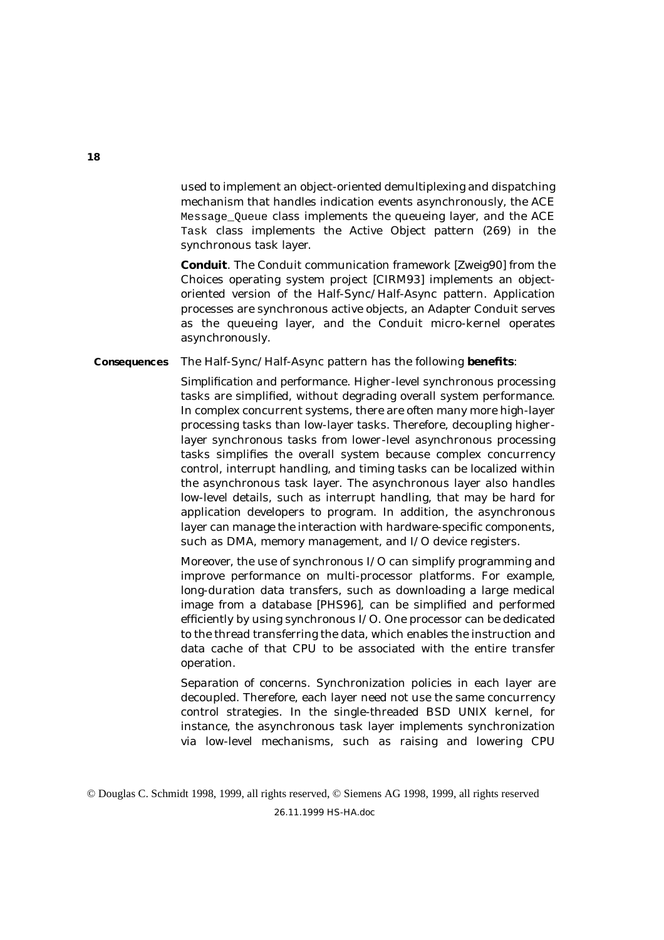used to implement an object-oriented demultiplexing and dispatching mechanism that handles indication events asynchronously, the ACE Message Queue class implements the queueing layer, and the ACE Task class implements the Active Object pattern (269) in the synchronous task layer.

**Conduit**. The Conduit communication framework [Zweig90] from the Choices operating system project [CIRM93] implements an objectoriented version of the Half-Sync/Half-Async pattern. Application processes are synchronous active objects, an Adapter Conduit serves as the queueing layer, and the Conduit micro-kernel operates asynchronously.

**Consequences** The Half-Sync/Half-Async pattern has the following **benefits**:

*Simplification and performance*. Higher-level synchronous processing tasks are simplified, without degrading overall system performance. In complex concurrent systems, there are often many more high-layer processing tasks than low-layer tasks. Therefore, decoupling higherlayer synchronous tasks from lower-level asynchronous processing tasks simplifies the overall system because complex concurrency control, interrupt handling, and timing tasks can be localized within the asynchronous task layer. The asynchronous layer also handles low-level details, such as interrupt handling, that may be hard for application developers to program. In addition, the asynchronous layer can manage the interaction with hardware-specific components, such as DMA, memory management, and I/O device registers.

Moreover, the use of synchronous I/O can simplify programming and improve performance on multi-processor platforms. For example, long-duration data transfers, such as downloading a large medical image from a database [PHS96], can be simplified and performed efficiently by using synchronous I/O. One processor can be dedicated to the thread transferring the data, which enables the instruction and data cache of that CPU to be associated with the entire transfer operation.

*Separation of concerns*. Synchronization policies in each layer are decoupled. Therefore, each layer need not use the same concurrency control strategies. In the single-threaded BSD UNIX kernel, for instance, the asynchronous task layer implements synchronization via low-level mechanisms, such as raising and lowering CPU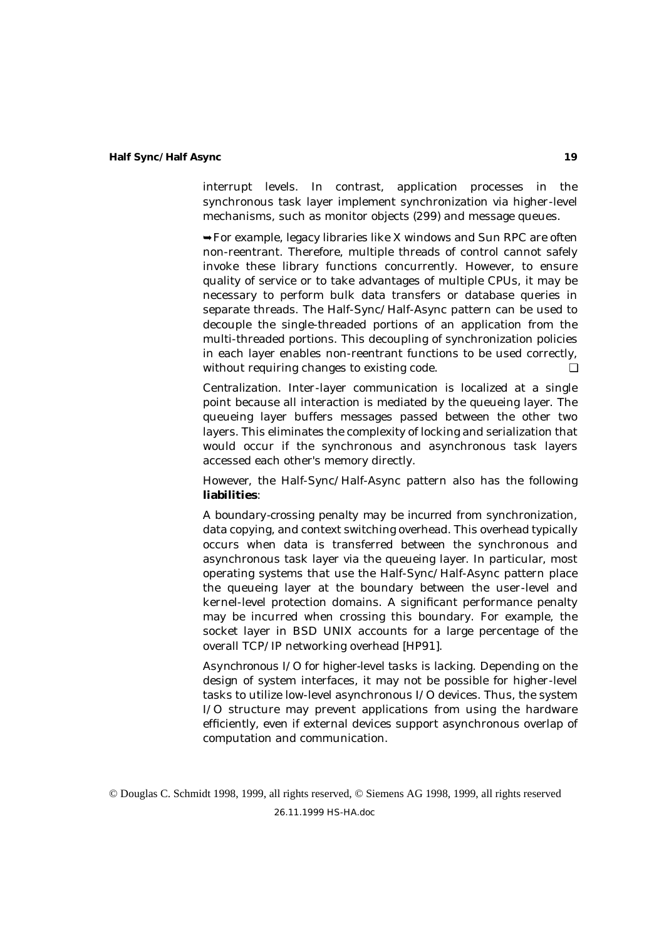interrupt levels. In contrast, application processes in the synchronous task layer implement synchronization via higher-level mechanisms, such as monitor objects (299) and message queues.

 $\rightarrow$  For example, legacy libraries like X windows and Sun RPC are often non-reentrant. Therefore, multiple threads of control cannot safely invoke these library functions concurrently. However, to ensure quality of service or to take advantages of multiple CPUs, it may be necessary to perform bulk data transfers or database queries in separate threads. The Half-Sync/Half-Async pattern can be used to decouple the single-threaded portions of an application from the multi-threaded portions. This decoupling of synchronization policies in each layer enables non-reentrant functions to be used correctly, without requiring changes to existing code. <del>□</del>

*Centralization*. Inter-layer communication is localized at a single point because all interaction is mediated by the queueing layer. The queueing layer buffers messages passed between the other two layers. This eliminates the complexity of locking and serialization that would occur if the synchronous and asynchronous task layers accessed each other's memory directly.

However, the Half-Sync/Half-Async pattern also has the following **liabilities**:

*A boundary-crossing penalty may be incurred* from synchronization, data copying, and context switching overhead. This overhead typically occurs when data is transferred between the synchronous and asynchronous task layer via the queueing layer. In particular, most operating systems that use the Half-Sync/Half-Async pattern place the queueing layer at the boundary between the user-level and kernel-level protection domains. A significant performance penalty may be incurred when crossing this boundary. For example, the socket layer in BSD UNIX accounts for a large percentage of the overall TCP/IP networking overhead [HP91].

*Asynchronous I/O for higher-level tasks is lacking*. Depending on the design of system interfaces, it may not be possible for higher-level tasks to utilize low-level asynchronous I/O devices. Thus, the system I/O structure may prevent applications from using the hardware efficiently, even if external devices support asynchronous overlap of computation and communication.